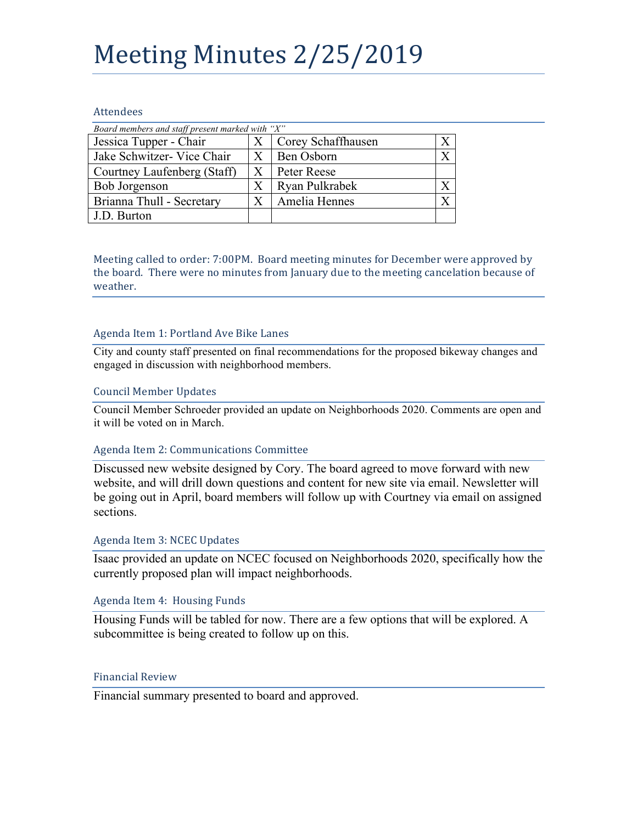# Meeting Minutes 2/25/2019

# Attendees

| Board members and staff present marked with "X" |         |                    |  |
|-------------------------------------------------|---------|--------------------|--|
| Jessica Tupper - Chair                          |         | Corey Schaffhausen |  |
| Jake Schwitzer- Vice Chair                      |         | Ben Osborn         |  |
| Courtney Laufenberg (Staff)                     | X       | Peter Reese        |  |
| Bob Jorgenson                                   |         | Ryan Pulkrabek     |  |
| Brianna Thull - Secretary                       | $\rm X$ | Amelia Hennes      |  |
| J.D. Burton                                     |         |                    |  |

Meeting called to order: 7:00PM. Board meeting minutes for December were approved by the board. There were no minutes from January due to the meeting cancelation because of weather. 

# Agenda Item 1: Portland Ave Bike Lanes

City and county staff presented on final recommendations for the proposed bikeway changes and engaged in discussion with neighborhood members.

# Council Member Updates

Council Member Schroeder provided an update on Neighborhoods 2020. Comments are open and it will be voted on in March.

#### Agenda Item 2: Communications Committee

Discussed new website designed by Cory. The board agreed to move forward with new website, and will drill down questions and content for new site via email. Newsletter will be going out in April, board members will follow up with Courtney via email on assigned sections.

#### Agenda Item 3: NCEC Updates

Isaac provided an update on NCEC focused on Neighborhoods 2020, specifically how the currently proposed plan will impact neighborhoods.

#### Agenda Item 4: Housing Funds

Housing Funds will be tabled for now. There are a few options that will be explored. A subcommittee is being created to follow up on this.

#### Financial Review

Financial summary presented to board and approved.